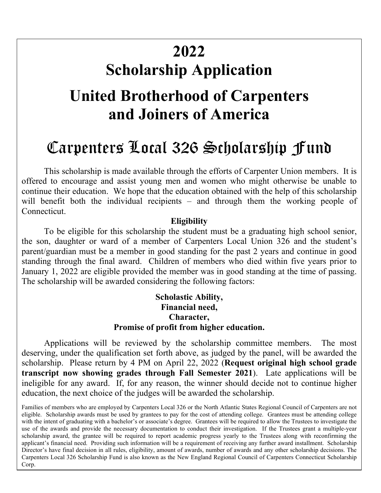# **Sch <sup>2022</sup> Scholarship Application**

### **United Brotherhood of Carpenters and Joiners of America**

## Carpenters Local 326 Scholarship Fund

This scholarship is made available through the efforts of Carpenter Union members. It is offered to encourage and assist young men and women who might otherwise be unable to continue their education. We hope that the education obtained with the help of this scholarship will benefit both the individual recipients – and through them the working people of Connecticut.

#### **Eligibility**

To be eligible for this scholarship the student must be a graduating high school senior, the son, daughter or ward of a member of Carpenters Local Union 326 and the student's parent/guardian must be a member in good standing for the past 2 years and continue in good standing through the final award. Children of members who died within five years prior to January 1, 2022 are eligible provided the member was in good standing at the time of passing. The scholarship will be awarded considering the following factors:

#### **Scholastic Ability, Financial need, Character, Promise of profit from higher education.**

Applications will be reviewed by the scholarship committee members. The most deserving, under the qualification set forth above, as judged by the panel, will be awarded the scholarship. Please return by 4 PM on April 22, 2022 (**Request original high school grade transcript now showing grades through Fall Semester 2021**). Late applications will be ineligible for any award. If, for any reason, the winner should decide not to continue higher education, the next choice of the judges will be awarded the scholarship.

Families of members who are employed by Carpenters Local 326 or the North Atlantic States Regional Council of Carpenters are not eligible. Scholarship awards must be used by grantees to pay for the cost of attending college. Grantees must be attending college with the intent of graduating with a bachelor's or associate's degree. Grantees will be required to allow the Trustees to investigate the use of the awards and provide the necessary documentation to conduct their investigation. If the Trustees grant a multiple-year scholarship award, the grantee will be required to report academic progress yearly to the Trustees along with reconfirming the applicant's financial need. Providing such information will be a requirement of receiving any further award installment. Scholarship Director's have final decision in all rules, eligibility, amount of awards, number of awards and any other scholarship decisions. The Carpenters Local 326 Scholarship Fund is also known as the New England Regional Council of Carpenters Connecticut Scholarship Corp.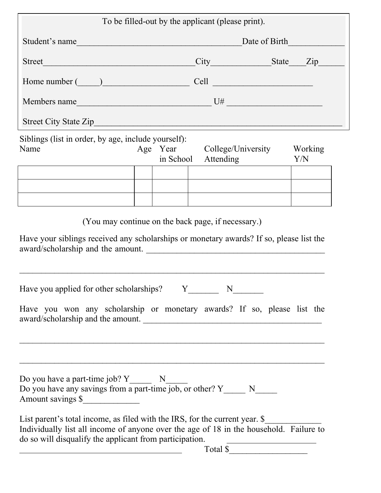| To be filled-out by the applicant (please print).                                                                                                                                                                                                                                                                                                                                                                                              |                                                                                                                                                                                                                                |                                                                                                                                    |                |  |
|------------------------------------------------------------------------------------------------------------------------------------------------------------------------------------------------------------------------------------------------------------------------------------------------------------------------------------------------------------------------------------------------------------------------------------------------|--------------------------------------------------------------------------------------------------------------------------------------------------------------------------------------------------------------------------------|------------------------------------------------------------------------------------------------------------------------------------|----------------|--|
| Student's name                                                                                                                                                                                                                                                                                                                                                                                                                                 | Date of Birth                                                                                                                                                                                                                  |                                                                                                                                    |                |  |
| Street Manual Communication of the Communication of the Communication of the Communication of the Communication of the Communication of the Communication of the Communication of the Communication of the Communication of th                                                                                                                                                                                                                 |                                                                                                                                                                                                                                |                                                                                                                                    |                |  |
| Home number ( )                                                                                                                                                                                                                                                                                                                                                                                                                                | Cell experience and the contract of the contract of the contract of the contract of the contract of the contract of the contract of the contract of the contract of the contract of the contract of the contract of the contra |                                                                                                                                    |                |  |
|                                                                                                                                                                                                                                                                                                                                                                                                                                                |                                                                                                                                                                                                                                |                                                                                                                                    |                |  |
|                                                                                                                                                                                                                                                                                                                                                                                                                                                |                                                                                                                                                                                                                                |                                                                                                                                    |                |  |
| Siblings (list in order, by age, include yourself):<br>Name                                                                                                                                                                                                                                                                                                                                                                                    | in School                                                                                                                                                                                                                      | Age Year College/University<br>Attending                                                                                           | Working<br>Y/N |  |
|                                                                                                                                                                                                                                                                                                                                                                                                                                                |                                                                                                                                                                                                                                |                                                                                                                                    |                |  |
|                                                                                                                                                                                                                                                                                                                                                                                                                                                |                                                                                                                                                                                                                                |                                                                                                                                    |                |  |
| (You may continue on the back page, if necessary.)<br>Have your siblings received any scholarships or monetary awards? If so, please list the<br>award/scholarship and the amount.<br>Have you applied for other scholarships? $Y_{\text{max}}$ N                                                                                                                                                                                              |                                                                                                                                                                                                                                |                                                                                                                                    |                |  |
| Have you won any scholarship or monetary awards? If so, please list the<br>award/scholarship and the amount.                                                                                                                                                                                                                                                                                                                                   |                                                                                                                                                                                                                                |                                                                                                                                    |                |  |
| Do you have any savings from a part-time job, or other? $Y_$ N<br>Amount savings \$<br>List parent's total income, as filed with the IRS, for the current year. \$<br>Individually list all income of anyone over the age of 18 in the household. Failure to<br>do so will disqualify the applicant from participation.<br><u> 1980 - Johann Barn, mars eta bainar eta baina eta baina eta baina eta baina eta baina eta baina eta baina e</u> |                                                                                                                                                                                                                                | <u> 1989 - Johann Stoff, deutscher Stoffen und der Stoffen und der Stoffen und der Stoffen und der Stoffen und der</u><br>Total \$ |                |  |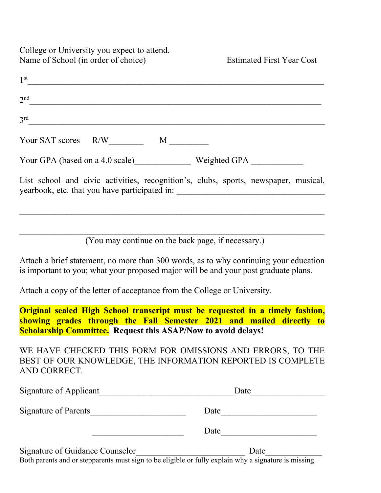College or University you expect to attend. Name of School (in order of choice) Estimated First Year Cost

| 1 <sup>st</sup>                                                                                                                                                              |
|------------------------------------------------------------------------------------------------------------------------------------------------------------------------------|
| 2 <sub>nd</sub>                                                                                                                                                              |
| 3 <sup>rd</sup>                                                                                                                                                              |
| Your SAT scores $R/W$ M                                                                                                                                                      |
| Your GPA (based on a 4.0 scale) Weighted GPA                                                                                                                                 |
| List school and civic activities, recognition's, clubs, sports, newspaper, musical,                                                                                          |
|                                                                                                                                                                              |
| (You may continue on the back page, if necessary.)                                                                                                                           |
| Attach a brief statement, no more than 300 words, as to why continuing your education<br>is important to you; what your proposed major will be and your post graduate plans. |

Attach a copy of the letter of acceptance from the College or University.

**Original sealed High School transcript must be requested in a timely fashion, showing grades through the Fall Semester 2021 and mailed directly to Scholarship Committee.** Request this ASAP/Now to avoid delays!

WE HAVE CHECKED THIS FORM FOR OMISSIONS AND ERRORS, TO THE BEST OF OUR KNOWLEDGE, THE INFORMATION REPORTED IS COMPLETE AND CORRECT.

| Signature of Applicant          | Date |  |
|---------------------------------|------|--|
| Signature of Parents            | Date |  |
|                                 | Date |  |
| Signature of Guidance Counselor | Date |  |

Both parents and or stepparents must sign to be eligible or fully explain why a signature is missing.